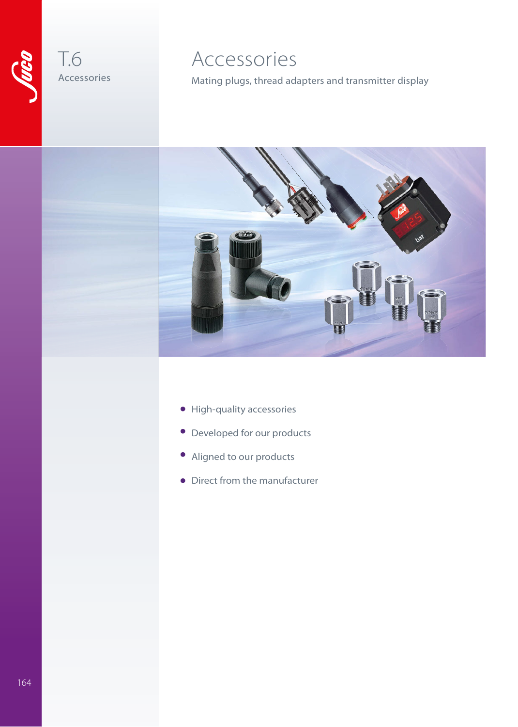

### T.6 Accessories

### Accessories

Mating plugs, thread adapters and transmitter display



- High-quality accessories •
- Developed for our products
- Aligned to our products •
- Direct from the manufacturer •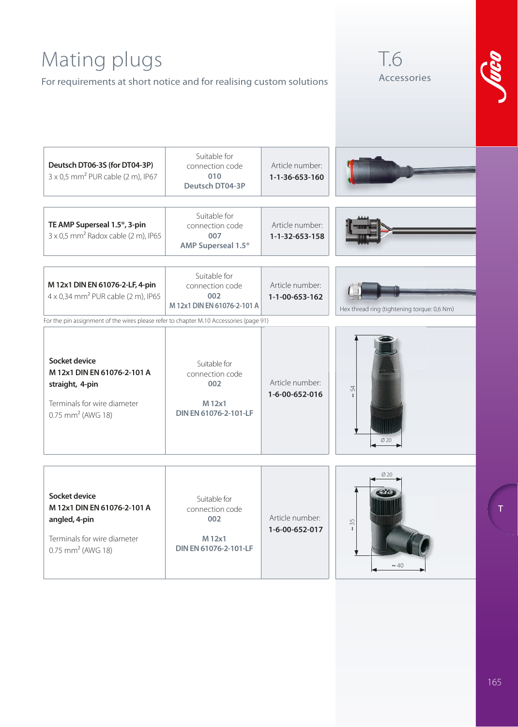## Mating plugs

For requirements at short notice and for realising custom solutions





| Deutsch DT06-3S (for DT04-3P)<br>$3 \times 0.5$ mm <sup>2</sup> PUR cable (2 m), IP67                                           | Suitable for<br>connection code<br>010<br>Deutsch DT04-3P                 | Article number:<br>1-1-36-653-160 |                                             |  |
|---------------------------------------------------------------------------------------------------------------------------------|---------------------------------------------------------------------------|-----------------------------------|---------------------------------------------|--|
| TE AMP Superseal 1.5 <sup>®</sup> , 3-pin<br>$3 \times 0.5$ mm <sup>2</sup> Radox cable (2 m), IP65                             | Suitable for<br>connection code<br>007<br>AMP Superseal 1.5 <sup>®</sup>  | Article number:<br>1-1-32-653-158 |                                             |  |
| M 12x1 DIN EN 61076-2-LF, 4-pin<br>4 x 0,34 mm <sup>2</sup> PUR cable (2 m), IP65                                               | Suitable for<br>connection code<br>002<br>M 12x1 DIN EN 61076-2-101 A     | Article number:<br>1-1-00-653-162 | Hex thread ring (tightening torque: 0,6 Nm) |  |
| For the pin assignment of the wires please refer to chapter M.10 Accessories (page 91)                                          |                                                                           |                                   |                                             |  |
| Socket device<br>M 12x1 DIN EN 61076-2-101 A<br>straight, 4-pin<br>Terminals for wire diameter<br>0.75 mm <sup>2</sup> (AWG 18) | Suitable for<br>connection code<br>002<br>M 12x1<br>DIN EN 61076-2-101-LF | Article number:<br>1-6-00-652-016 | 54<br>$\mathbf{z}$<br>Ø 20                  |  |
|                                                                                                                                 |                                                                           |                                   |                                             |  |
| Socket device<br>M 12x1 DIN EN 61076-2-101 A<br>angled, 4-pin<br>Terminals for wire diameter<br>$0.75$ mm <sup>2</sup> (AWG 18) | Suitable for<br>connection code<br>002<br>M 12x1<br>DIN EN 61076-2-101-LF | Article number:<br>1-6-00-652-017 | $\sim 35$<br>$\sim$ 40                      |  |

**T**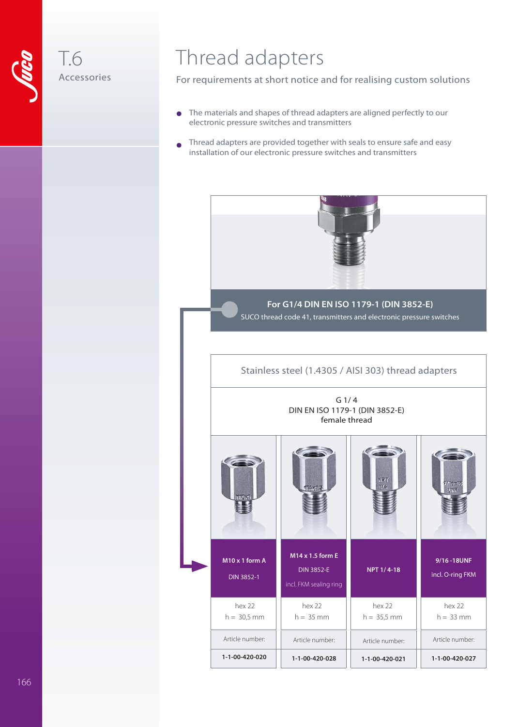

T.6

Accessories

## Thread adapters

For requirements at short notice and for realising custom solutions

- The materials and shapes of thread adapters are aligned perfectly to our electronic pressure switches and transmitters •
- Thread adapters are provided together with seals to ensure safe and easy installation of our electronic pressure switches and transmitters •